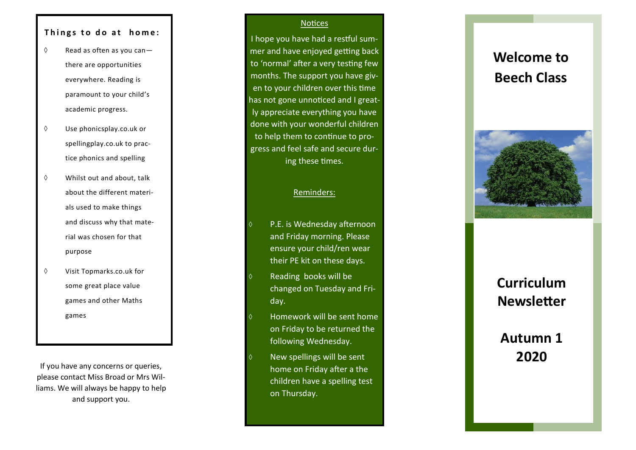## Things to do at home:

- $\Diamond$  Read as often as you canthere are opportunities everywhere. Reading is paramount to your child 's academic progress.
- $\Diamond$  Use phonicsplay.co.uk or spellingplay.co.uk to practice phonics and spelling
- $\Diamond$  Whilst out and about, talk about the different materials used to make things and discuss why that material was chosen for that purpose
- Visit Topmarks.co.uk for some great place value games and other Maths games

If you have any concerns or queries, please contact Miss Broad or Mrs Williams. We will always be happy to help and support you.

#### **Notices**

I hope you have had a restful summer and have enjoyed getting back to 'normal' after a very testing few months. The support you have given to your children over this time has not gone unnoticed and I greatly appreciate everything you have done with your wonderful children to help them to continue to progress and feel safe and secure during these times.

## Reminders:

- P.E. is Wednesday afternoon and Friday morning. Please ensure your child/ren wear their PE kit on these days.
- Reading books will be changed on Tuesday and Friday.
- Homework will be sent home on Friday to be returned the following Wednesday.
- New spellings will be sent home on Friday after a the children have a spelling test on Thursday.

# **Welcome to Beech Class**



# **Curriculum Newsletter**

# **Autumn 1 2020**